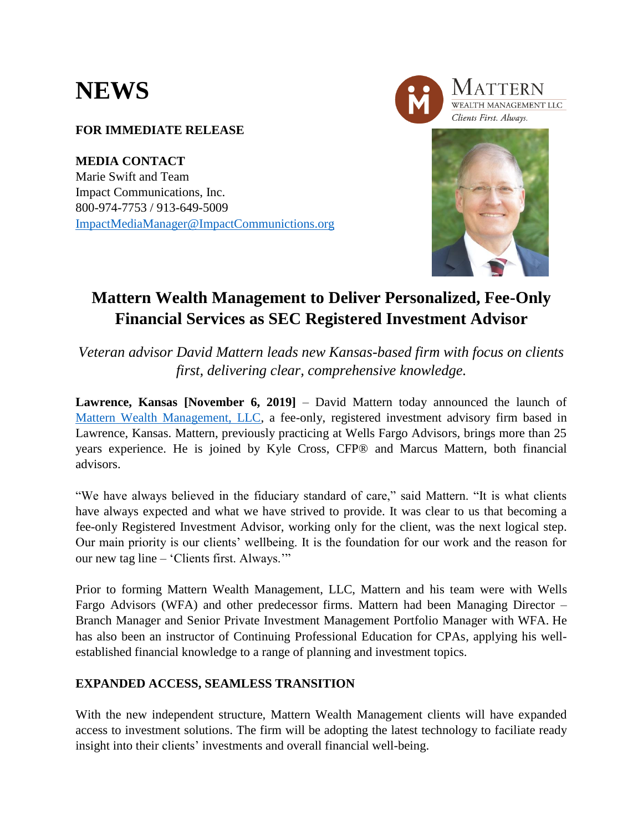# **NEWS**

### **FOR IMMEDIATE RELEASE**

**MEDIA CONTACT** Marie Swift and Team Impact Communications, Inc. 800-974-7753 / 913-649-5009 [ImpactMediaManager@ImpactCommunictions.org](mailto:ImpactMediaManager@ImpactCommunictions.org)



## **Mattern Wealth Management to Deliver Personalized, Fee-Only Financial Services as SEC Registered Investment Advisor**

*Veteran advisor David Mattern leads new Kansas-based firm with focus on clients first, delivering clear, comprehensive knowledge.*

**Lawrence, Kansas [November 6, 2019]** – David Mattern today announced the launch of [Mattern Wealth Management, LLC,](http://www.matternwealth.com/) a fee-only, registered investment advisory firm based in Lawrence, Kansas. Mattern, previously practicing at Wells Fargo Advisors, brings more than 25 years experience. He is joined by Kyle Cross, CFP® and Marcus Mattern, both financial advisors.

"We have always believed in the fiduciary standard of care," said Mattern. "It is what clients have always expected and what we have strived to provide. It was clear to us that becoming a fee-only Registered Investment Advisor, working only for the client, was the next logical step. Our main priority is our clients' wellbeing. It is the foundation for our work and the reason for our new tag line – 'Clients first. Always.'"

Prior to forming Mattern Wealth Management, LLC, Mattern and his team were with Wells Fargo Advisors (WFA) and other predecessor firms. Mattern had been Managing Director – Branch Manager and Senior Private Investment Management Portfolio Manager with WFA. He has also been an instructor of Continuing Professional Education for CPAs, applying his wellestablished financial knowledge to a range of planning and investment topics.

#### **EXPANDED ACCESS, SEAMLESS TRANSITION**

With the new independent structure, Mattern Wealth Management clients will have expanded access to investment solutions. The firm will be adopting the latest technology to faciliate ready insight into their clients' investments and overall financial well-being.